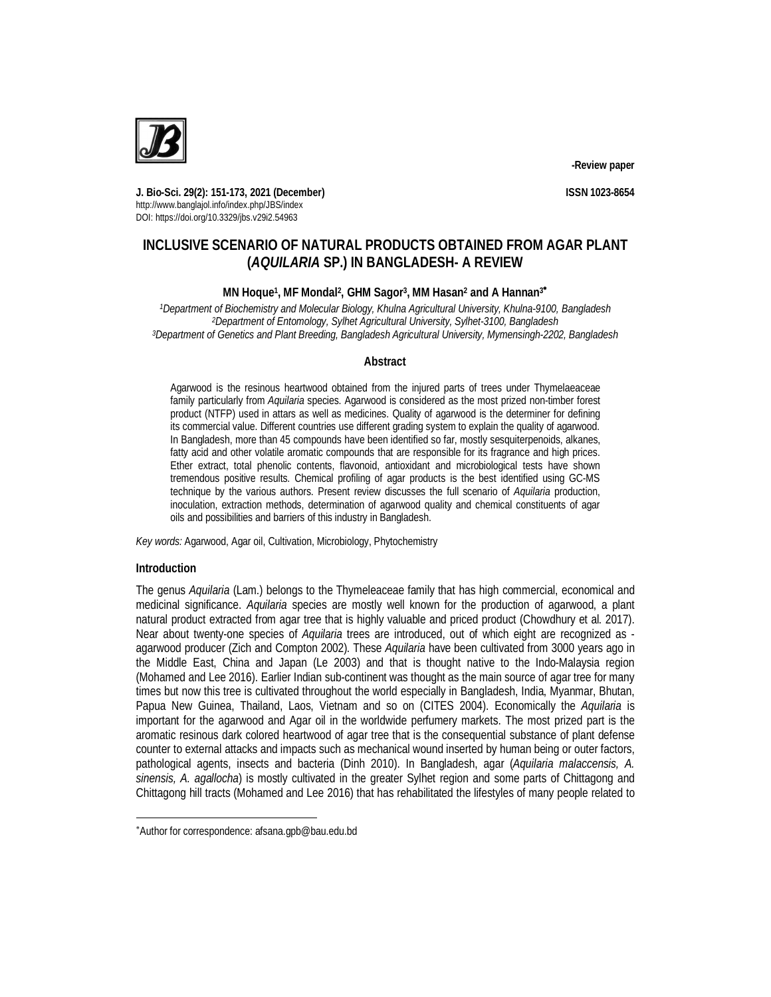

**-Review paper**

**J. Bio-Sci. 29(2): 151-173, 2021 (December) ISSN 1023-8654** http://www.banglajol.info/index.php/JBS/index DOI: https://doi.org/10.3329/jbs.v29i2.54963

# **INCLUSIVE SCENARIO OF NATURAL PRODUCTS OBTAINED FROM AGAR PLANT (***AQUILARIA* **SP.) IN BANGLADESH- A REVIEW**

# **MN Hoque<sup>1</sup> , MF Mondal<sup>2</sup> , GHM Sagor<sup>3</sup> , MM Hasan<sup>2</sup> and A Hannan<sup>3</sup>**

*<sup>1</sup>Department of Biochemistry and Molecular Biology, Khulna Agricultural University, Khulna-9100, Bangladesh <sup>2</sup>Department of Entomology, Sylhet Agricultural University, Sylhet-3100, Bangladesh <sup>3</sup>Department of Genetics and Plant Breeding, Bangladesh Agricultural University, Mymensingh-2202, Bangladesh*

# **Abstract**

Agarwood is the resinous heartwood obtained from the injured parts of trees under Thymelaeaceae family particularly from *Aquilaria* species. Agarwood is considered as the most prized non-timber forest product (NTFP) used in attars as well as medicines. Quality of agarwood is the determiner for defining its commercial value. Different countries use different grading system to explain the quality of agarwood. In Bangladesh, more than 45 compounds have been identified so far, mostly sesquiterpenoids, alkanes, fatty acid and other volatile aromatic compounds that are responsible for its fragrance and high prices. Ether extract, total phenolic contents, flavonoid, antioxidant and microbiological tests have shown tremendous positive results. Chemical profiling of agar products is the best identified using GC-MS technique by the various authors. Present review discusses the full scenario of *Aquilaria* production, inoculation, extraction methods, determination of agarwood quality and chemical constituents of agar oils and possibilities and barriers of this industry in Bangladesh.

*Key words:* Agarwood, Agar oil, Cultivation, Microbiology, Phytochemistry

# **Introduction**

 $\overline{a}$ 

The genus *Aquilaria* (Lam.) belongs to the Thymeleaceae family that has high commercial, economical and medicinal significance. *Aquilaria* species are mostly well known for the production of agarwood, a plant natural product extracted from agar tree that is highly valuable and priced product (Chowdhury et al. 2017). Near about twenty-one species of *Aquilaria* trees are introduced, out of which eight are recognized as agarwood producer (Zich and Compton 2002). These *Aquilaria* have been cultivated from 3000 years ago in the Middle East, China and Japan (Le 2003) and that is thought native to the Indo-Malaysia region (Mohamed and Lee 2016). Earlier Indian sub-continent was thought as the main source of agar tree for many times but now this tree is cultivated throughout the world especially in Bangladesh, India, Myanmar, Bhutan, Papua New Guinea, Thailand, Laos, Vietnam and so on (CITES 2004). Economically the *Aquilaria* is important for the agarwood and Agar oil in the worldwide perfumery markets. The most prized part is the aromatic resinous dark colored heartwood of agar tree that is the consequential substance of plant defense counter to external attacks and impacts such as mechanical wound inserted by human being or outer factors, pathological agents, insects and bacteria (Dinh 2010). In Bangladesh, agar (*Aquilaria malaccensis, A. sinensis, A. agallocha*) is mostly cultivated in the greater Sylhet region and some parts of Chittagong and Chittagong hill tracts (Mohamed and Lee 2016) that has rehabilitated the lifestyles of many people related to

Author for correspondence: afsana.gpb@bau.edu.bd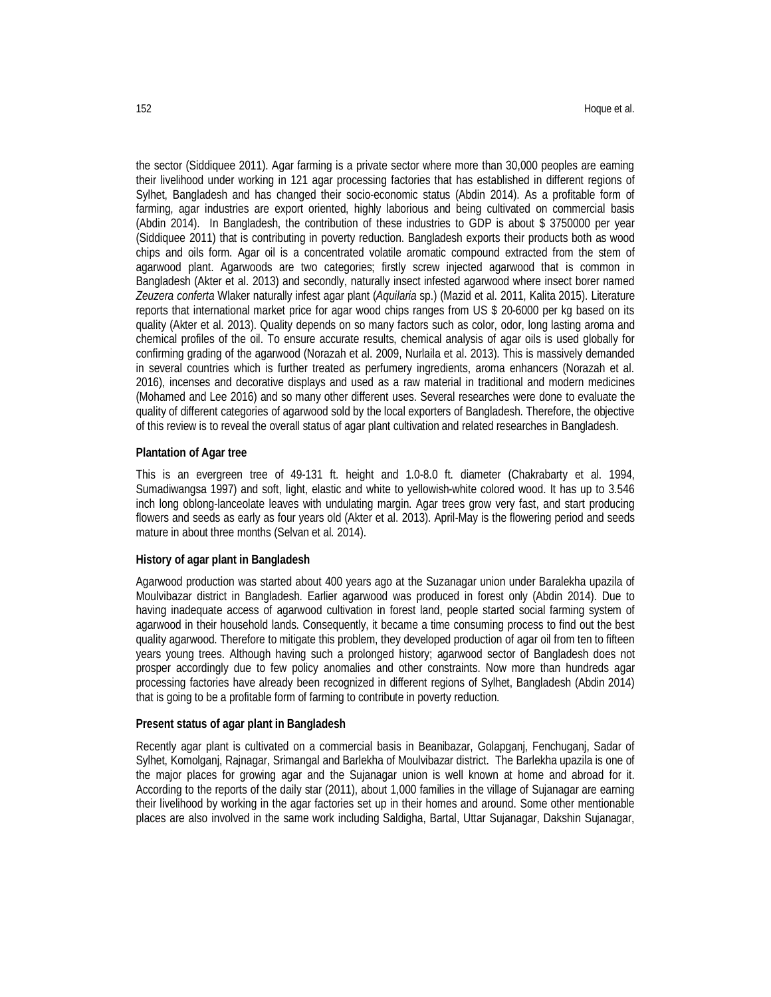the sector (Siddiquee 2011). Agar farming is a private sector where more than 30,000 peoples are earning their livelihood under working in 121 agar processing factories that has established in different regions of Sylhet, Bangladesh and has changed their socio-economic status (Abdin 2014). As a profitable form of farming, agar industries are export oriented, highly laborious and being cultivated on commercial basis (Abdin 2014). In Bangladesh, the contribution of these industries to GDP is about \$ 3750000 per year (Siddiquee 2011) that is contributing in poverty reduction. Bangladesh exports their products both as wood chips and oils form. Agar oil is a concentrated volatile aromatic compound extracted from the stem of agarwood plant. Agarwoods are two categories; firstly screw injected agarwood that is common in Bangladesh (Akter et al. 2013) and secondly, naturally insect infested agarwood where insect borer named *Zeuzera conferta* Wlaker naturally infest agar plant (*Aquilaria* sp.) (Mazid et al. 2011, Kalita 2015). Literature reports that international market price for agar wood chips ranges from US \$ 20-6000 per kg based on its quality (Akter et al. 2013). Quality depends on so many factors such as color, odor, long lasting aroma and chemical profiles of the oil. To ensure accurate results, chemical analysis of agar oils is used globally for confirming grading of the agarwood (Norazah et al. 2009, Nurlaila et al. 2013). This is massively demanded in several countries which is further treated as perfumery ingredients, aroma enhancers (Norazah et al. 2016), incenses and decorative displays and used as a raw material in traditional and modern medicines (Mohamed and Lee 2016) and so many other different uses. Several researches were done to evaluate the quality of different categories of agarwood sold by the local exporters of Bangladesh. Therefore, the objective of this review is to reveal the overall status of agar plant cultivation and related researches in Bangladesh.

### **Plantation of Agar tree**

This is an evergreen tree of 49-131 ft. height and 1.0-8.0 ft. diameter (Chakrabarty et al. 1994, Sumadiwangsa 1997) and soft, light, elastic and white to yellowish-white colored wood. It has up to 3.546 inch long oblong-lanceolate leaves with undulating margin. Agar trees grow very fast, and start producing flowers and seeds as early as four years old (Akter et al. 2013). April-May is the flowering period and seeds mature in about three months (Selvan et al. 2014).

### **History of agar plant in Bangladesh**

Agarwood production was started about 400 years ago at the Suzanagar union under Baralekha upazila of Moulvibazar district in Bangladesh. Earlier agarwood was produced in forest only (Abdin 2014). Due to having inadequate access of agarwood cultivation in forest land, people started social farming system of agarwood in their household lands. Consequently, it became a time consuming process to find out the best quality agarwood. Therefore to mitigate this problem, they developed production of agar oil from ten to fifteen years young trees. Although having such a prolonged history; agarwood sector of Bangladesh does not prosper accordingly due to few policy anomalies and other constraints. Now more than hundreds agar processing factories have already been recognized in different regions of Sylhet, Bangladesh (Abdin 2014) that is going to be a profitable form of farming to contribute in poverty reduction.

#### **Present status of agar plant in Bangladesh**

Recently agar plant is cultivated on a commercial basis in Beanibazar, Golapganj, Fenchuganj, Sadar of Sylhet, Komolganj, Rajnagar, Srimangal and Barlekha of Moulvibazar district. The Barlekha upazila is one of the major places for growing agar and the Sujanagar union is well known at home and abroad for it. According to the reports of the daily star (2011), about 1,000 families in the village of Sujanagar are earning their livelihood by working in the agar factories set up in their homes and around. Some other mentionable places are also involved in the same work including Saldigha, Bartal, Uttar Sujanagar, Dakshin Sujanagar,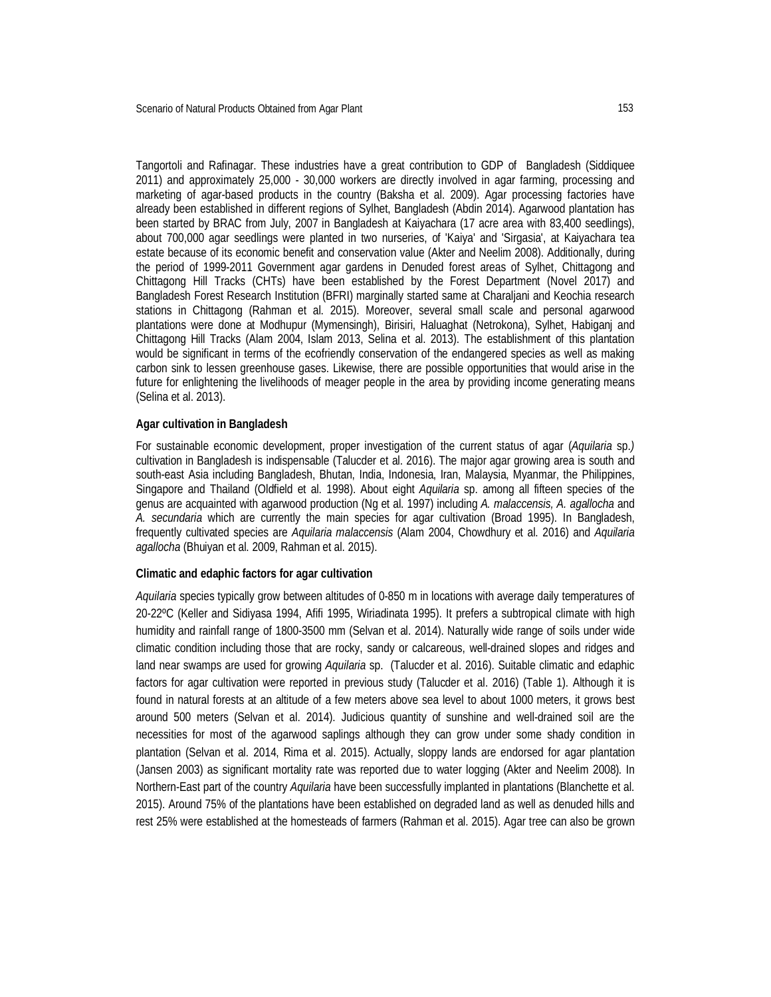Tangortoli and Rafinagar. These industries have a great contribution to GDP of Bangladesh (Siddiquee 2011) and approximately 25,000 - 30,000 workers are directly involved in agar farming, processing and marketing of agar-based products in the country (Baksha et al. 2009). Agar processing factories have already been established in different regions of Sylhet, Bangladesh (Abdin 2014). Agarwood plantation has been started by BRAC from July, 2007 in Bangladesh at Kaiyachara (17 acre area with 83,400 seedlings), about 700,000 agar seedlings were planted in two nurseries, of 'Kaiya' and 'Sirgasia', at Kaiyachara tea estate because of its economic benefit and conservation value (Akter and Neelim 2008). Additionally, during the period of 1999-2011 Government agar gardens in Denuded forest areas of Sylhet, Chittagong and Chittagong Hill Tracks (CHTs) have been established by the Forest Department (Novel 2017) and Bangladesh Forest Research Institution (BFRI) marginally started same at Charaljani and Keochia research stations in Chittagong (Rahman et al. 2015). Moreover, several small scale and personal agarwood plantations were done at Modhupur (Mymensingh), Birisiri, Haluaghat (Netrokona), Sylhet, Habiganj and Chittagong Hill Tracks (Alam 2004, Islam 2013, Selina et al. 2013). The establishment of this plantation would be significant in terms of the ecofriendly conservation of the endangered species as well as making carbon sink to lessen greenhouse gases. Likewise, there are possible opportunities that would arise in the future for enlightening the livelihoods of meager people in the area by providing income generating means (Selina et al. 2013).

### **Agar cultivation in Bangladesh**

For sustainable economic development, proper investigation of the current status of agar (*Aquilaria* sp.*)*  cultivation in Bangladesh is indispensable (Talucder et al. 2016). The major agar growing area is south and south-east Asia including Bangladesh, Bhutan, India, Indonesia, Iran, Malaysia, Myanmar, the Philippines, Singapore and Thailand (Oldfield et al. 1998). About eight *Aquilaria* sp. among all fifteen species of the genus are acquainted with agarwood production (Ng et al. 1997) including *A. malaccensis, A. agallocha* and *A. secundaria* which are currently the main species for agar cultivation (Broad 1995). In Bangladesh, frequently cultivated species are *Aquilaria malaccensis* (Alam 2004, Chowdhury et al. 2016) and *Aquilaria agallocha* (Bhuiyan et al. 2009, Rahman et al. 2015).

### **Climatic and edaphic factors for agar cultivation**

*Aquilaria* species typically grow between altitudes of 0-850 m in locations with average daily temperatures of 20-22ºC (Keller and Sidiyasa 1994, Afifi 1995, Wiriadinata 1995). It prefers a subtropical climate with high humidity and rainfall range of 1800-3500 mm (Selvan et al. 2014). Naturally wide range of soils under wide climatic condition including those that are rocky, sandy or calcareous, well-drained slopes and ridges and land near swamps are used for growing *Aquilaria* sp. (Talucder et al. 2016). Suitable climatic and edaphic factors for agar cultivation were reported in previous study (Talucder et al. 2016) (Table 1). Although it is found in natural forests at an altitude of a few meters above sea level to about 1000 meters, it grows best around 500 meters (Selvan et al. 2014). Judicious quantity of sunshine and well-drained soil are the necessities for most of the agarwood saplings although they can grow under some shady condition in plantation (Selvan et al. 2014, Rima et al. 2015). Actually, sloppy lands are endorsed for agar plantation (Jansen 2003) as significant mortality rate was reported due to water logging (Akter and Neelim 2008). In Northern-East part of the country *Aquilaria* have been successfully implanted in plantations (Blanchette et al. 2015). Around 75% of the plantations have been established on degraded land as well as denuded hills and rest 25% were established at the homesteads of farmers (Rahman et al. 2015). Agar tree can also be grown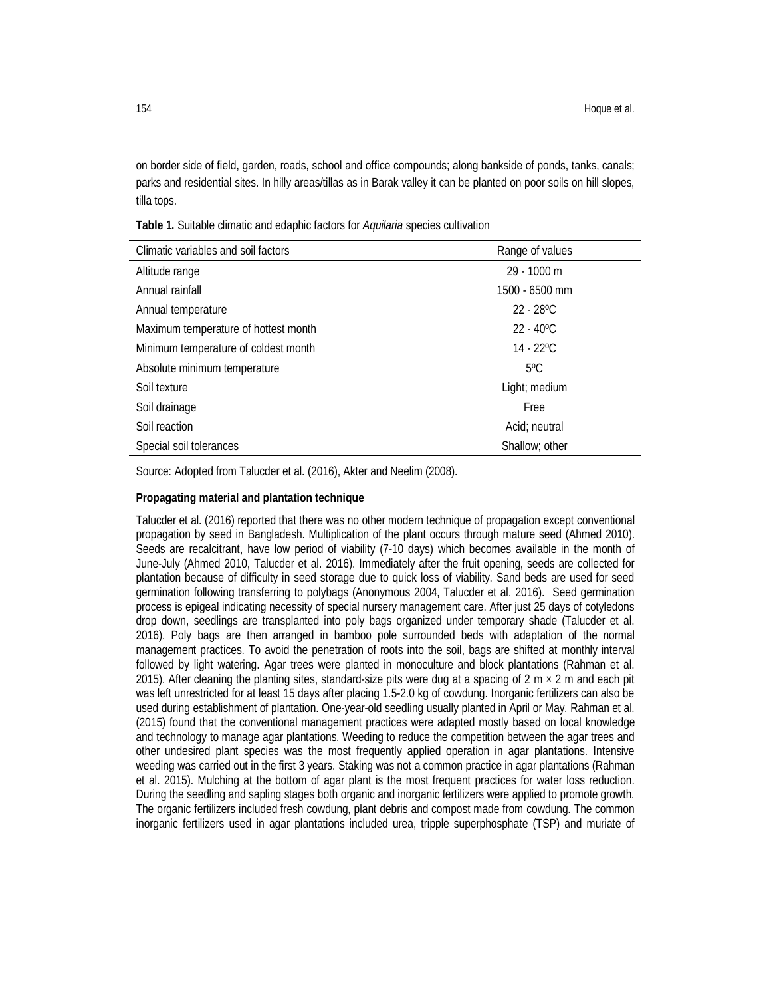on border side of field, garden, roads, school and office compounds; along bankside of ponds, tanks, canals; parks and residential sites. In hilly areas/tillas as in Barak valley it can be planted on poor soils on hill slopes, tilla tops.

| Climatic variables and soil factors  | Range of values     |
|--------------------------------------|---------------------|
| Altitude range                       | 29 - 1000 m         |
| Annual rainfall                      | 1500 - 6500 mm      |
| Annual temperature                   | $22 - 28^{\circ}$ C |
| Maximum temperature of hottest month | $22 - 40^{\circ}$ C |
| Minimum temperature of coldest month | $14 - 22^{\circ}$ C |
| Absolute minimum temperature         | $5^{\circ}$ C       |
| Soil texture                         | Light; medium       |
| Soil drainage                        | Free                |
| Soil reaction                        | Acid; neutral       |
| Special soil tolerances              | Shallow: other      |

**Table 1.** Suitable climatic and edaphic factors for *Aquilaria* species cultivation

Source: Adopted from Talucder et al. (2016), Akter and Neelim (2008).

### **Propagating material and plantation technique**

Talucder et al. (2016) reported that there was no other modern technique of propagation except conventional propagation by seed in Bangladesh. Multiplication of the plant occurs through mature seed (Ahmed 2010). Seeds are recalcitrant, have low period of viability (7-10 days) which becomes available in the month of June-July (Ahmed 2010, Talucder et al. 2016). Immediately after the fruit opening, seeds are collected for plantation because of difficulty in seed storage due to quick loss of viability. Sand beds are used for seed germination following transferring to polybags (Anonymous 2004, Talucder et al. 2016). Seed germination process is epigeal indicating necessity of special nursery management care. After just 25 days of cotyledons drop down, seedlings are transplanted into poly bags organized under temporary shade (Talucder et al. 2016). Poly bags are then arranged in bamboo pole surrounded beds with adaptation of the normal management practices. To avoid the penetration of roots into the soil, bags are shifted at monthly interval followed by light watering. Agar trees were planted in monoculture and block plantations (Rahman et al. 2015). After cleaning the planting sites, standard-size pits were dug at a spacing of  $2 \text{ m} \times 2 \text{ m}$  and each pit was left unrestricted for at least 15 days after placing 1.5-2.0 kg of cowdung. Inorganic fertilizers can also be used during establishment of plantation. One-year-old seedling usually planted in April or May. Rahman et al. (2015) found that the conventional management practices were adapted mostly based on local knowledge and technology to manage agar plantations. Weeding to reduce the competition between the agar trees and other undesired plant species was the most frequently applied operation in agar plantations. Intensive weeding was carried out in the first 3 years. Staking was not a common practice in agar plantations (Rahman et al. 2015). Mulching at the bottom of agar plant is the most frequent practices for water loss reduction. During the seedling and sapling stages both organic and inorganic fertilizers were applied to promote growth. The organic fertilizers included fresh cowdung, plant debris and compost made from cowdung. The common inorganic fertilizers used in agar plantations included urea, tripple superphosphate (TSP) and muriate of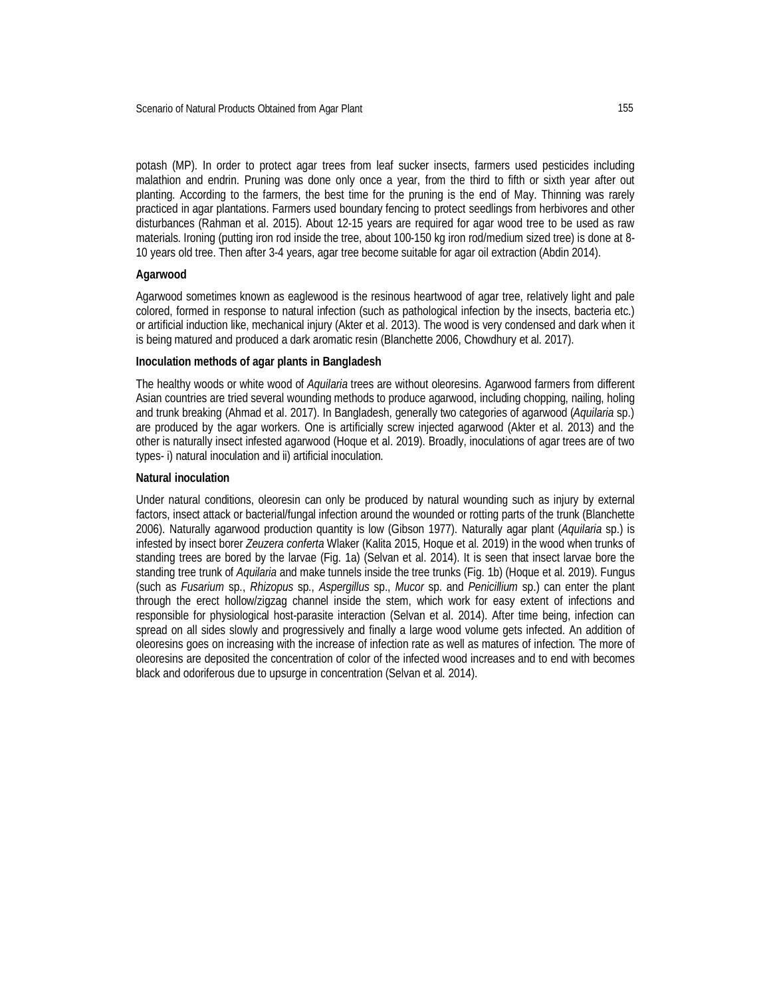potash (MP). In order to protect agar trees from leaf sucker insects, farmers used pesticides including malathion and endrin. Pruning was done only once a year, from the third to fifth or sixth year after out planting. According to the farmers, the best time for the pruning is the end of May. Thinning was rarely practiced in agar plantations. Farmers used boundary fencing to protect seedlings from herbivores and other disturbances (Rahman et al. 2015). About 12-15 years are required for agar wood tree to be used as raw materials. Ironing (putting iron rod inside the tree, about 100-150 kg iron rod/medium sized tree) is done at 8- 10 years old tree. Then after 3-4 years, agar tree become suitable for agar oil extraction (Abdin 2014).

# **Agarwood**

Agarwood sometimes known as eaglewood is the resinous heartwood of agar tree, relatively light and pale colored, formed in response to natural infection (such as pathological infection by the insects, bacteria etc.) or artificial induction like, mechanical injury (Akter et al. 2013). The wood is very condensed and dark when it is being matured and produced a dark aromatic resin (Blanchette 2006, Chowdhury et al. 2017).

#### **Inoculation methods of agar plants in Bangladesh**

The healthy woods or white wood of *Aquilaria* trees are without oleoresins. Agarwood farmers from different Asian countries are tried several wounding methods to produce agarwood, including chopping, nailing, holing and trunk breaking (Ahmad et al. 2017). In Bangladesh, generally two categories of agarwood (*Aquilaria* sp.) are produced by the agar workers. One is artificially screw injected agarwood (Akter et al. 2013) and the other is naturally insect infested agarwood (Hoque et al. 2019). Broadly, inoculations of agar trees are of two types- i) natural inoculation and ii) artificial inoculation.

### **Natural inoculation**

Under natural conditions, oleoresin can only be produced by natural wounding such as injury by external factors, insect attack or bacterial/fungal infection around the wounded or rotting parts of the trunk (Blanchette 2006). Naturally agarwood production quantity is low (Gibson 1977). Naturally agar plant (*Aquilaria* sp.) is infested by insect borer *Zeuzera conferta* Wlaker (Kalita 2015, Hoque et al. 2019) in the wood when trunks of standing trees are bored by the larvae (Fig. 1a) (Selvan et al. 2014). It is seen that insect larvae bore the standing tree trunk of *Aquilaria* and make tunnels inside the tree trunks (Fig. 1b) (Hoque et al. 2019). Fungus (such as *Fusarium* sp., *Rhizopus* sp., *Aspergillus* sp., *Mucor* sp. and *Penicillium* sp.) can enter the plant through the erect hollow/zigzag channel inside the stem, which work for easy extent of infections and responsible for physiological host-parasite interaction (Selvan et al. 2014). After time being, infection can spread on all sides slowly and progressively and finally a large wood volume gets infected. An addition of oleoresins goes on increasing with the increase of infection rate as well as matures of infection. The more of oleoresins are deposited the concentration of color of the infected wood increases and to end with becomes black and odoriferous due to upsurge in concentration (Selvan et al. 2014).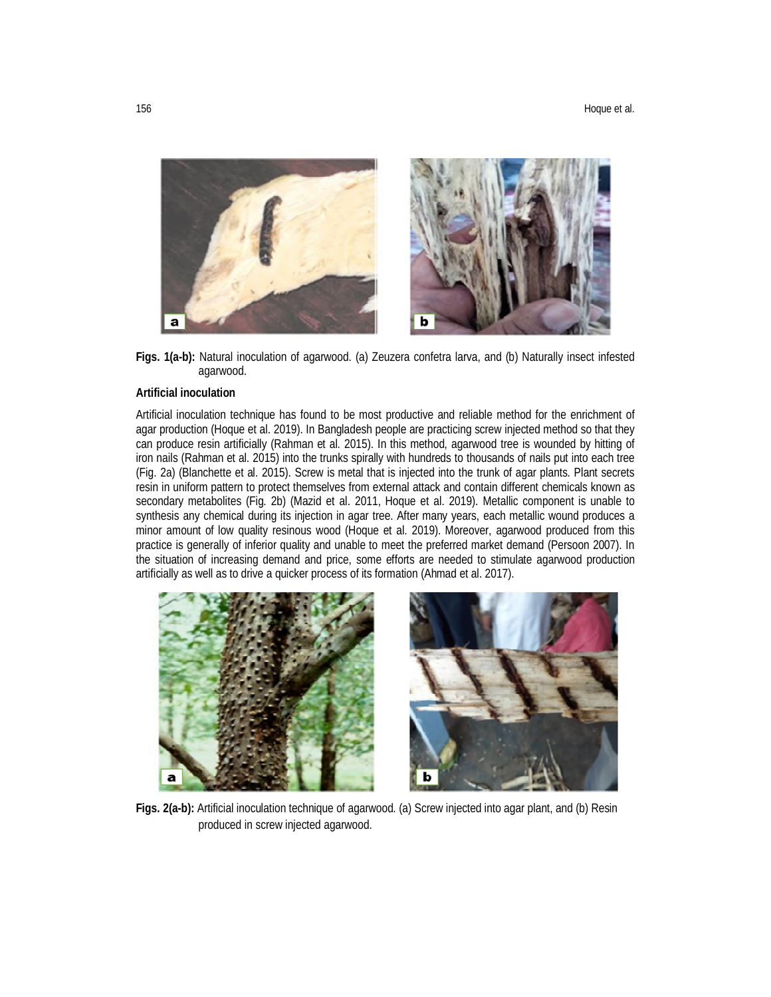

**Figs. 1(a-b):** Natural inoculation of agarwood. (a) Zeuzera confetra larva, and (b) Naturally insect infested agarwood.

# **Artificial inoculation**

Artificial inoculation technique has found to be most productive and reliable method for the enrichment of agar production (Hoque et al. 2019). In Bangladesh people are practicing screw injected method so that they can produce resin artificially (Rahman et al. 2015). In this method, agarwood tree is wounded by hitting of iron nails (Rahman et al. 2015) into the trunks spirally with hundreds to thousands of nails put into each tree (Fig. 2a) (Blanchette et al. 2015). Screw is metal that is injected into the trunk of agar plants. Plant secrets resin in uniform pattern to protect themselves from external attack and contain different chemicals known as secondary metabolites (Fig. 2b) (Mazid et al. 2011, Hoque et al. 2019). Metallic component is unable to synthesis any chemical during its injection in agar tree. After many years, each metallic wound produces a minor amount of low quality resinous wood (Hoque et al. 2019). Moreover, agarwood produced from this practice is generally of inferior quality and unable to meet the preferred market demand (Persoon 2007). In the situation of increasing demand and price, some efforts are needed to stimulate agarwood production artificially as well as to drive a quicker process of its formation (Ahmad et al. 2017).



**Figs. 2(a-b):** Artificial inoculation technique of agarwood. (a) Screw injected into agar plant, and (b) Resin produced in screw injected agarwood.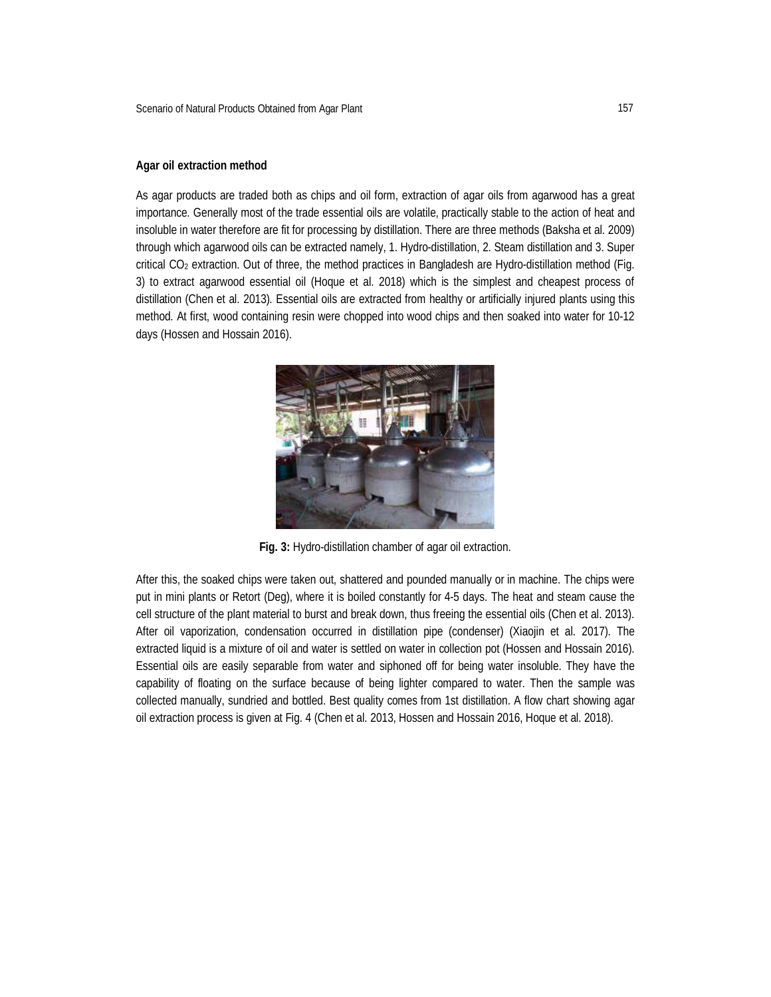# **Agar oil extraction method**

As agar products are traded both as chips and oil form, extraction of agar oils from agarwood has a great importance. Generally most of the trade essential oils are volatile, practically stable to the action of heat and insoluble in water therefore are fit for processing by distillation. There are three methods (Baksha et al. 2009) through which agarwood oils can be extracted namely, 1. Hydro-distillation, 2. Steam distillation and 3. Super critical CO<sup>2</sup> extraction. Out of three, the method practices in Bangladesh are Hydro-distillation method (Fig. 3) to extract agarwood essential oil (Hoque et al. 2018) which is the simplest and cheapest process of distillation (Chen et al. 2013). Essential oils are extracted from healthy or artificially injured plants using this method. At first, wood containing resin were chopped into wood chips and then soaked into water for 10-12 days (Hossen and Hossain 2016).



**Fig. 3:** Hydro-distillation chamber of agar oil extraction.

After this, the soaked chips were taken out, shattered and pounded manually or in machine. The chips were put in mini plants or Retort (Deg), where it is boiled constantly for 4-5 days. The heat and steam cause the cell structure of the plant material to burst and break down, thus freeing the essential oils (Chen et al. 2013). After oil vaporization, condensation occurred in distillation pipe (condenser) (Xiaojin et al. 2017). The extracted liquid is a mixture of oil and water is settled on water in collection pot (Hossen and Hossain 2016). Essential oils are easily separable from water and siphoned off for being water insoluble. They have the capability of floating on the surface because of being lighter compared to water. Then the sample was collected manually, sundried and bottled. Best quality comes from 1st distillation. A flow chart showing agar oil extraction process is given at Fig. 4 (Chen et al. 2013, Hossen and Hossain 2016, Hoque et al. 2018).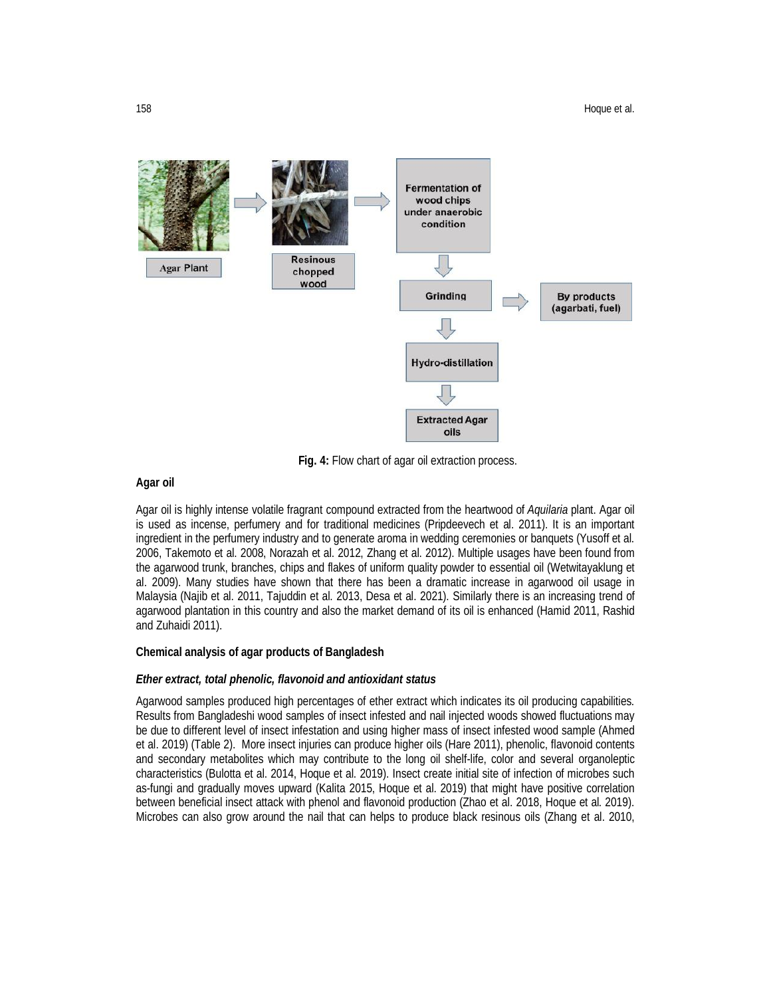

**Fig. 4:** Flow chart of agar oil extraction process.

# **Agar oil**

Agar oil is highly intense volatile fragrant compound extracted from the heartwood of *Aquilaria* plant. Agar oil is used as incense, perfumery and for traditional medicines (Pripdeevech et al. 2011). It is an important ingredient in the perfumery industry and to generate aroma in wedding ceremonies or banquets (Yusoff et al. 2006, Takemoto et al. 2008, Norazah et al. 2012, Zhang et al. 2012). Multiple usages have been found from the agarwood trunk, branches, chips and flakes of uniform quality powder to essential oil (Wetwitayaklung et al. 2009). Many studies have shown that there has been a dramatic increase in agarwood oil usage in Malaysia (Najib et al. 2011, Tajuddin et al. 2013, Desa et al. 2021). Similarly there is an increasing trend of agarwood plantation in this country and also the market demand of its oil is enhanced (Hamid 2011, Rashid and Zuhaidi 2011).

# **Chemical analysis of agar products of Bangladesh**

### *Ether extract, total phenolic, flavonoid and antioxidant status*

Agarwood samples produced high percentages of ether extract which indicates its oil producing capabilities. Results from Bangladeshi wood samples of insect infested and nail injected woods showed fluctuations may be due to different level of insect infestation and using higher mass of insect infested wood sample (Ahmed et al. 2019) (Table 2). More insect injuries can produce higher oils (Hare 2011), phenolic, flavonoid contents and secondary metabolites which may contribute to the long oil shelf-life, color and several organoleptic characteristics (Bulotta et al. 2014, Hoque et al. 2019). Insect create initial site of infection of microbes such as-fungi and gradually moves upward (Kalita 2015, Hoque et al. 2019) that might have positive correlation between beneficial insect attack with phenol and flavonoid production (Zhao et al. 2018, Hoque et al. 2019). Microbes can also grow around the nail that can helps to produce black resinous oils (Zhang et al. 2010,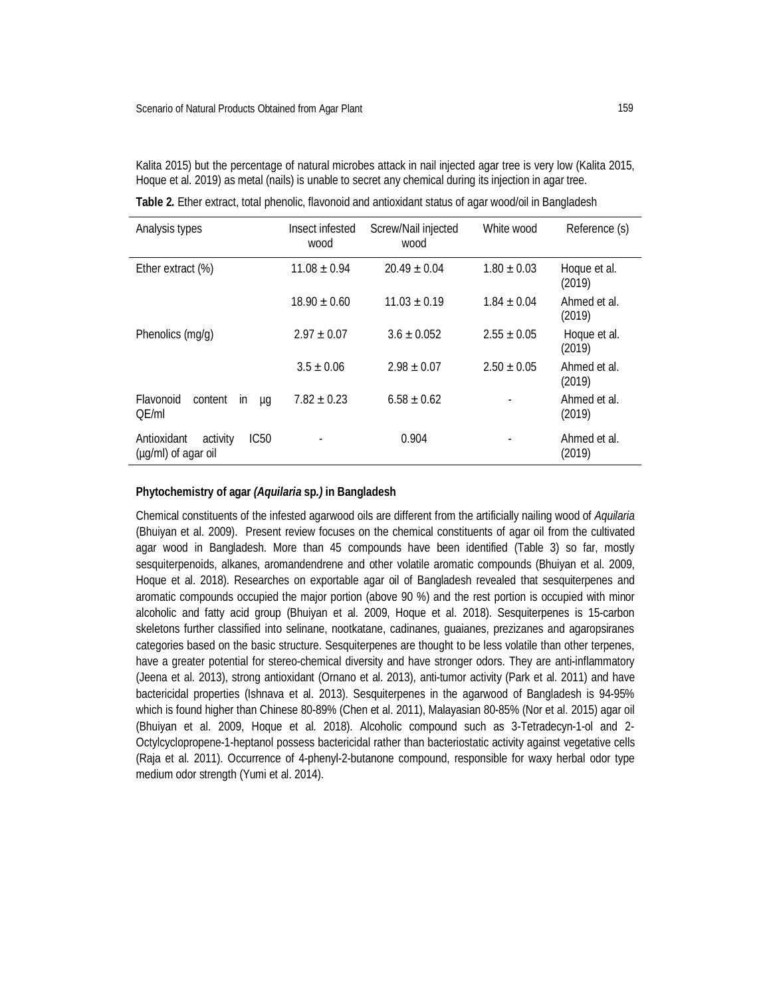Kalita 2015) but the percentage of natural microbes attack in nail injected agar tree is very low (Kalita 2015, Hoque et al. 2019) as metal (nails) is unable to secret any chemical during its injection in agar tree.

| Analysis types                                         | Insect infested<br>wood | Screw/Nail injected<br>wood | White wood      | Reference (s)          |
|--------------------------------------------------------|-------------------------|-----------------------------|-----------------|------------------------|
| Ether extract (%)                                      | $11.08 \pm 0.94$        | $20.49 \pm 0.04$            | $1.80 \pm 0.03$ | Hoque et al.<br>(2019) |
|                                                        | $18.90 \pm 0.60$        | $11.03 + 0.19$              | $1.84 \pm 0.04$ | Ahmed et al.<br>(2019) |
| Phenolics (mg/g)                                       | $2.97 \pm 0.07$         | $3.6 \pm 0.052$             | $2.55 \pm 0.05$ | Hoque et al.<br>(2019) |
|                                                        | $3.5 \pm 0.06$          | $2.98 \pm 0.07$             | $2.50 \pm 0.05$ | Ahmed et al.<br>(2019) |
| Flavonoid<br>content<br>in<br>μg<br>OE/ml              | $7.82 \pm 0.23$         | $6.58 \pm 0.62$             |                 | Ahmed et al.<br>(2019) |
| Antioxidant<br>IC50<br>activity<br>(µg/ml) of agar oil |                         | 0.904                       |                 | Ahmed et al.<br>(2019) |

**Table 2.** Ether extract, total phenolic, flavonoid and antioxidant status of agar wood/oil in Bangladesh

# **Phytochemistry of agar** *(Aquilaria* **sp***.)* **in Bangladesh**

Chemical constituents of the infested agarwood oils are different from the artificially nailing wood of *Aquilaria* (Bhuiyan et al. 2009). Present review focuses on the chemical constituents of agar oil from the cultivated agar wood in Bangladesh. More than 45 compounds have been identified (Table 3) so far, mostly sesquiterpenoids, alkanes, aromandendrene and other volatile aromatic compounds (Bhuiyan et al. 2009, Hoque et al. 2018). Researches on exportable agar oil of Bangladesh revealed that sesquiterpenes and aromatic compounds occupied the major portion (above 90 %) and the rest portion is occupied with minor alcoholic and fatty acid group (Bhuiyan et al. 2009, Hoque et al. 2018). Sesquiterpenes is 15-carbon skeletons further classified into selinane, nootkatane, cadinanes, guaianes, prezizanes and agaropsiranes categories based on the basic structure. Sesquiterpenes are thought to be less volatile than other terpenes, have a greater potential for stereo-chemical diversity and have stronger odors. They are anti-inflammatory (Jeena et al. 2013), strong antioxidant (Ornano et al. 2013), anti-tumor activity (Park et al. 2011) and have bactericidal properties (Ishnava et al. 2013). Sesquiterpenes in the agarwood of Bangladesh is 94-95% which is found higher than Chinese 80-89% (Chen et al. 2011), Malayasian 80-85% (Nor et al. 2015) agar oil (Bhuiyan et al. 2009, Hoque et al. 2018). Alcoholic compound such as 3-Tetradecyn-1-ol and 2- Octylcyclopropene-1-heptanol possess bactericidal rather than bacteriostatic activity against vegetative cells (Raja et al. 2011). Occurrence of 4-phenyl-2-butanone compound, responsible for waxy herbal odor type medium odor strength (Yumi et al. 2014).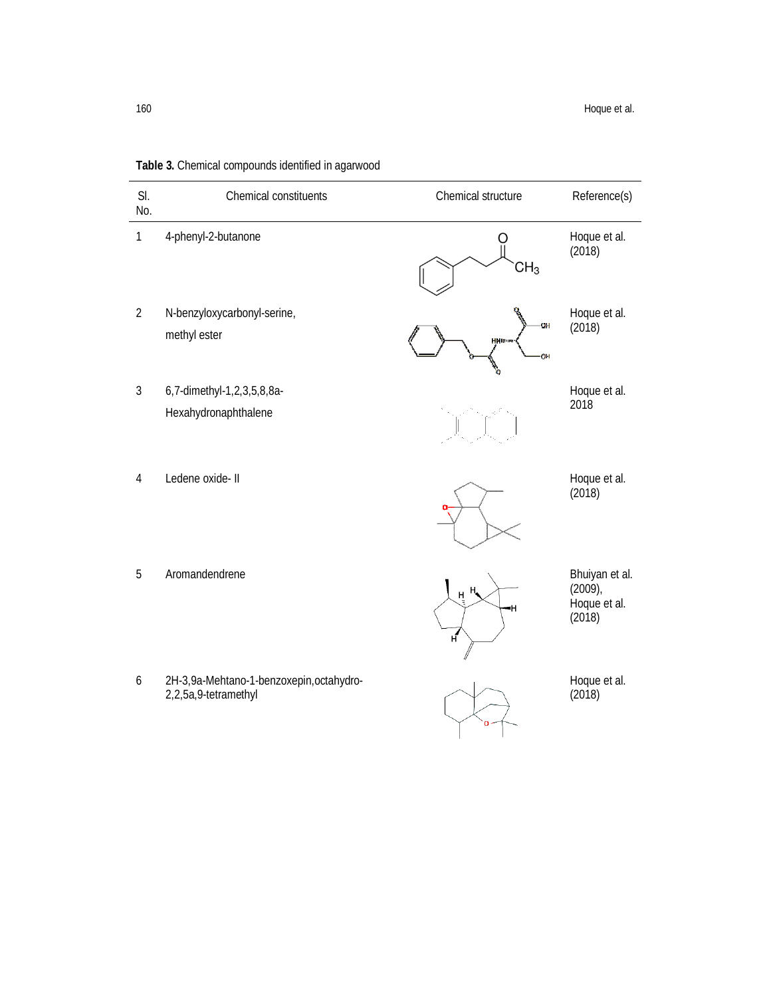| SI.<br>No.     | Chemical constituents                                            | Chemical structure                      | Reference(s)                                           |
|----------------|------------------------------------------------------------------|-----------------------------------------|--------------------------------------------------------|
| $\mathbf 1$    | 4-phenyl-2-butanone                                              | CH <sub>3</sub>                         | Hoque et al.<br>(2018)                                 |
| $\overline{2}$ | N-benzyloxycarbonyl-serine,<br>methyl ester                      | OH<br><b>HNIRG</b><br><b>COM</b>        | Hoque et al.<br>(2018)                                 |
| $\mathbf{3}$   | 6,7-dimethyl-1,2,3,5,8,8a-<br>Hexahydronaphthalene               |                                         | Hoque et al.<br>2018                                   |
| 4              | Ledene oxide- II                                                 |                                         | Hoque et al.<br>(2018)                                 |
| 5              | Aromandendrene                                                   | $H_{\bullet}$<br>$H_{\perp}$<br>۰H<br>H | Bhuiyan et al.<br>$(2009)$ ,<br>Hoque et al.<br>(2018) |
| 6              | 2H-3,9a-Mehtano-1-benzoxepin, octahydro-<br>2,2,5a,9-tetramethyl | $\Omega$                                | Hoque et al.<br>(2018)                                 |

**Table 3.** Chemical compounds identified in agarwood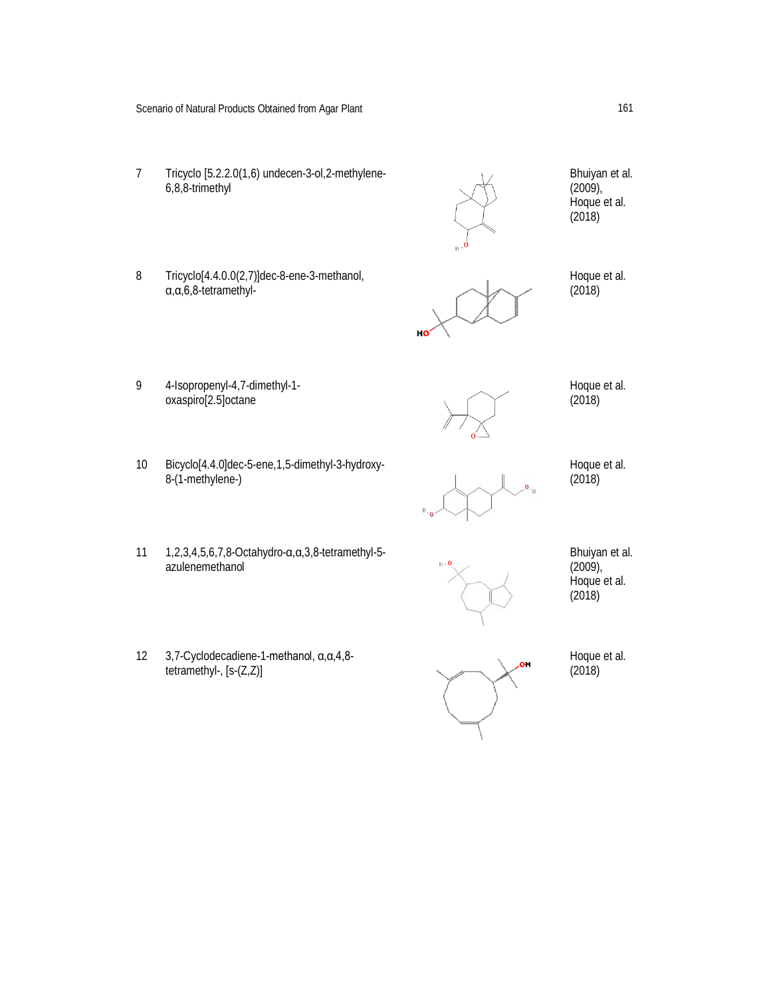- 7 Tricyclo [5.2.2.0(1,6) undecen-3-ol,2-methylene-6,8,8-trimethyl
- 8 Tricyclo[4.4.0.0(2,7)]dec-8-ene-3-methanol, α,α,6,8-tetramethyl-

9 4-Isopropenyl-4,7-dimethyl-1 oxaspiro[2.5]octane



 $(2009)$ , Hoque et al. (2018)

Hoque et al. (2018)

Bhuiyan et al.

Hoque et al. (2018)

- 10 Bicyclo[4.4.0]dec-5-ene,1,5-dimethyl-3-hydroxy-8-(1-methylene-)
- 
- Hoque et al. (2018)

- 11 1,2,3,4,5,6,7,8-Octahydro-α,α,3,8-tetramethyl-5 azulenemethanol
- 12 3,7-Cyclodecadiene-1-methanol, α,α,4,8 tetramethyl-, [s-(Z,Z)]

Bhuiyan et al.  $(2009)$ , Hoque et al. (2018)

Hoque et al. (2018)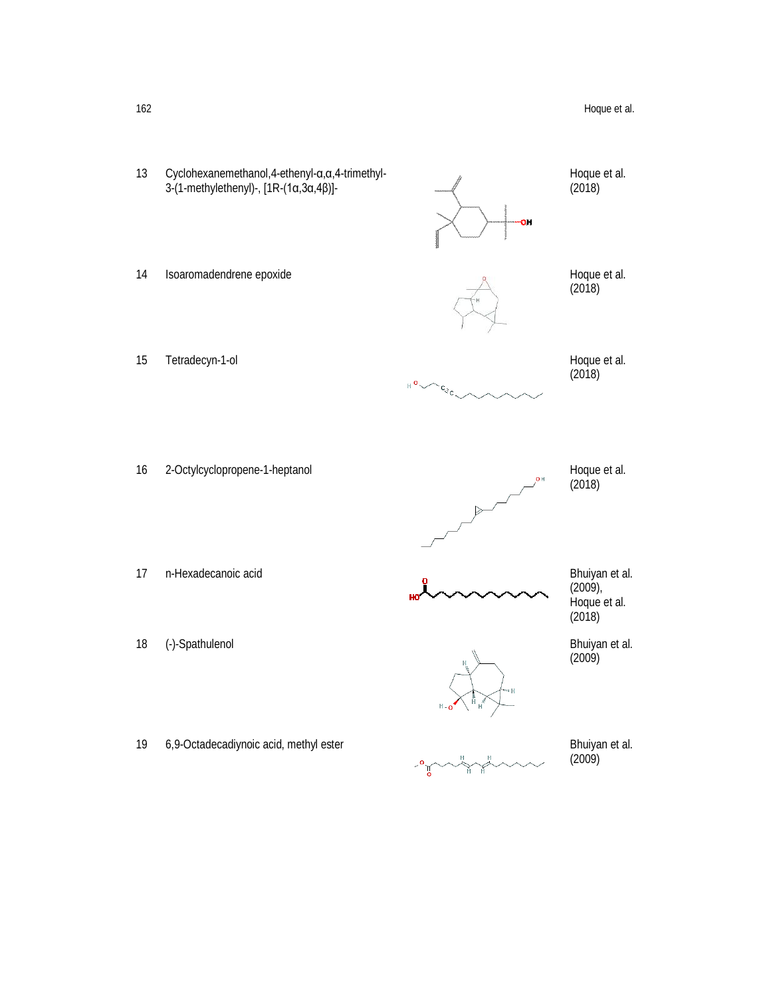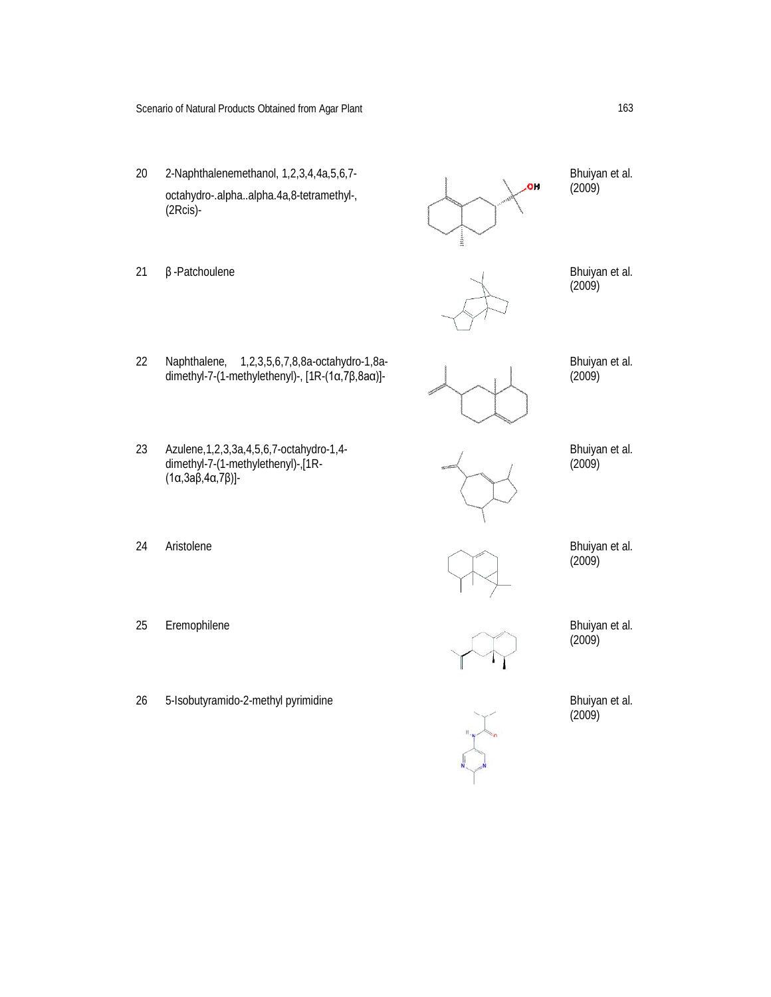- 20 2-Naphthalenemethanol, 1,2,3,4,4a,5,6,7 octahydro-.alpha..alpha.4a,8-tetramethyl-, (2Rcis)-
- 
- 21  $\beta$  -Patchoulene Bhuiyan et al.

31

- Bhuiyan et al. (2009)
- (2009)

- 22 Naphthalene, 1,2,3,5,6,7,8,8a-octahydro-1,8adimethyl-7-(1-methylethenyl)-, [1R-(1α,7β,8aα)]-
- 23 Azulene,1,2,3,3a,4,5,6,7-octahydro-1,4 dimethyl-7-(1-methylethenyl)-,[1R- (1α,3aβ,4α,7β)]-
- 

Bhuiyan et al. (2009)

Bhuiyan et al.  $(2009)$ 

- 24 Aristolene Bhuiyan et al. (2009)
- 25 Eremophilene Bhuiyan et al.

- $(2009)$
- 26 5-Isobutyramido-2-methyl pyrimidine Bhuiyan et al.

(2009)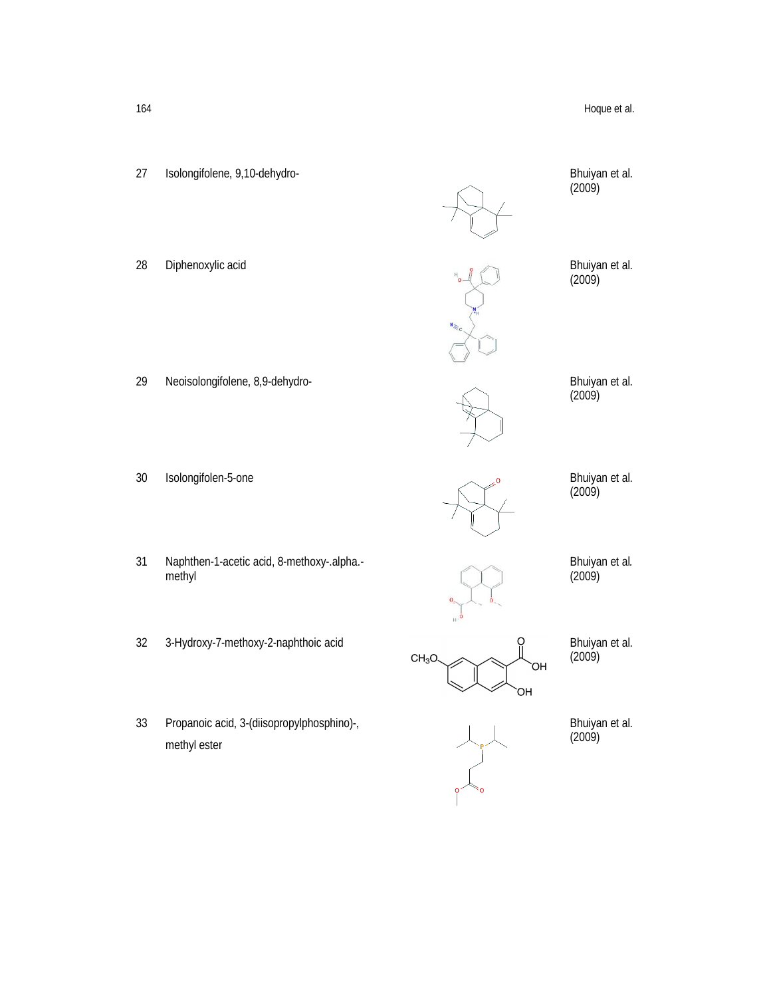

33 Propanoic acid, 3-(diisopropylphosphino)-, methyl ester

Bhuiyan et al. (2009)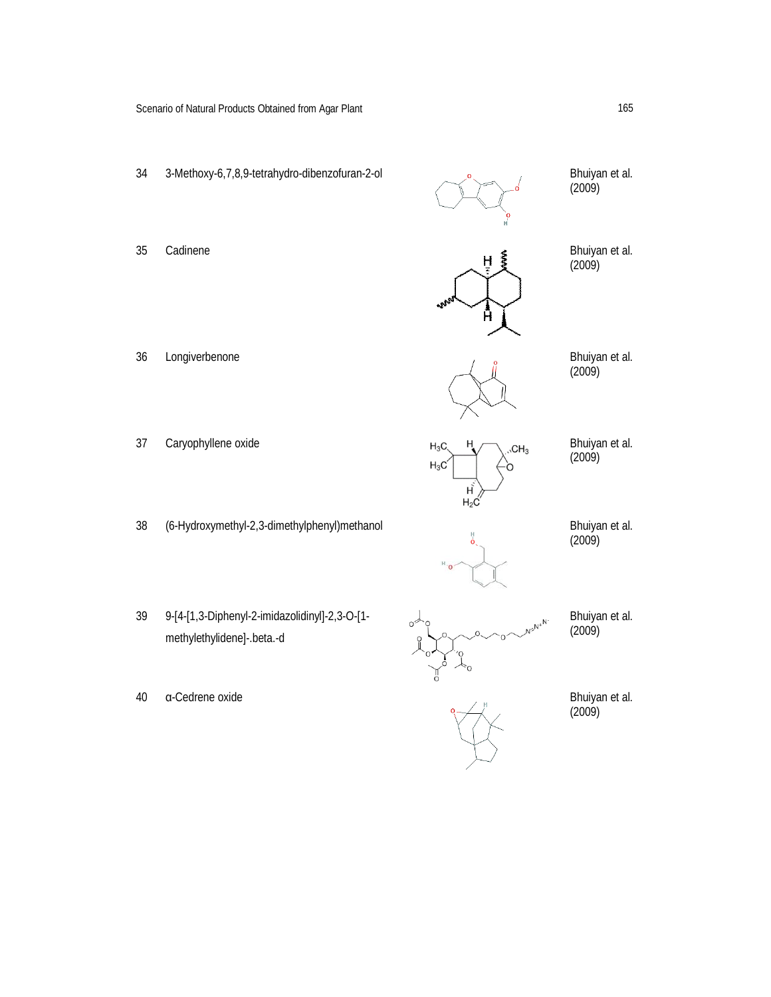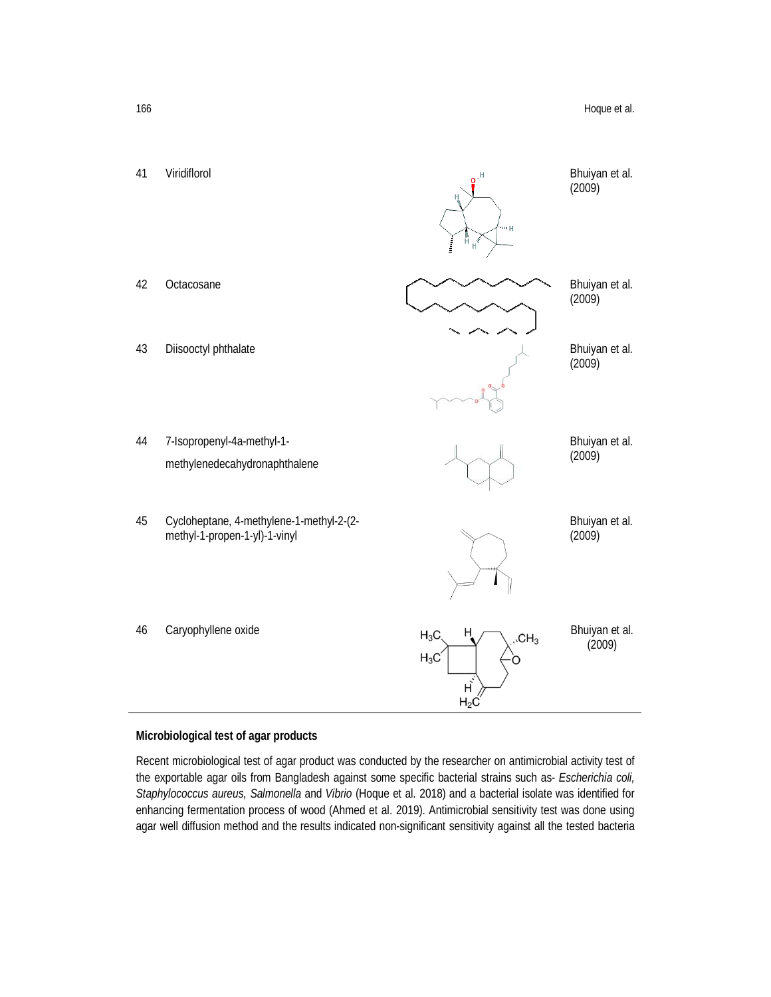

### **Microbiological test of agar products**

Recent microbiological test of agar product was conducted by the researcher on antimicrobial activity test of the exportable agar oils from Bangladesh against some specific bacterial strains such as- *Escherichia coli, Staphylococcus aureus, Salmonella* and *Vibrio* (Hoque et al. 2018) and a bacterial isolate was identified for enhancing fermentation process of wood (Ahmed et al. 2019). Antimicrobial sensitivity test was done using agar well diffusion method and the results indicated non-significant sensitivity against all the tested bacteria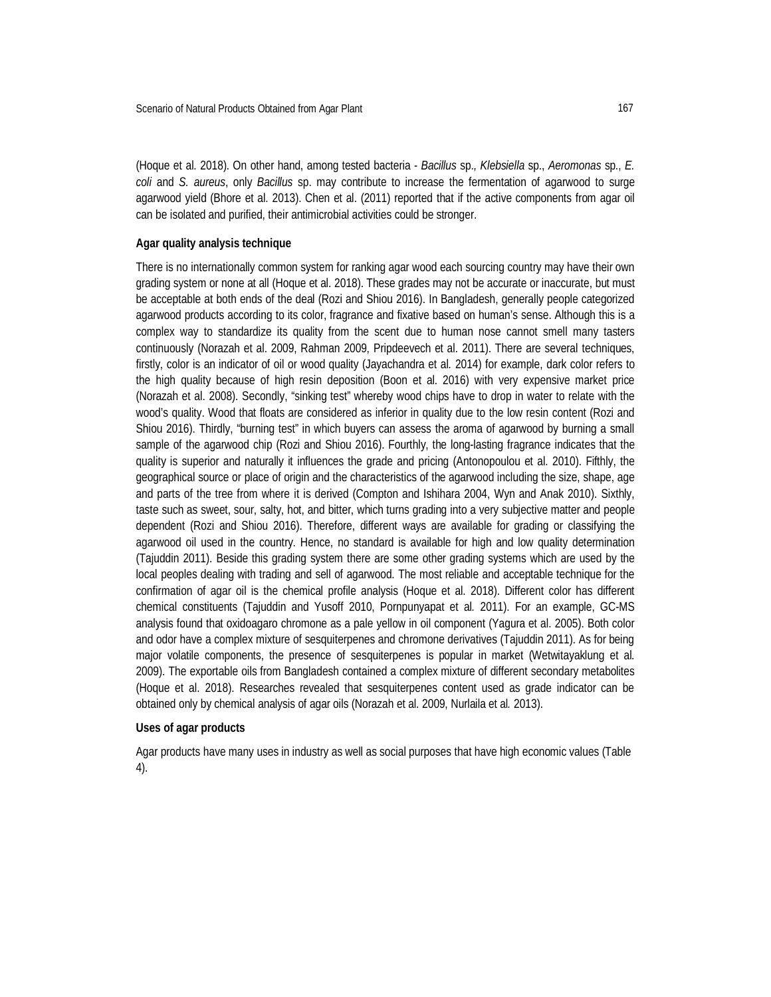(Hoque et al. 2018). On other hand, among tested bacteria - *Bacillus* sp.*, Klebsiella* sp., *Aeromonas* sp., *E. coli* and *S. aureus*, only *Bacillus* sp. may contribute to increase the fermentation of agarwood to surge agarwood yield (Bhore et al. 2013). Chen et al. (2011) reported that if the active components from agar oil can be isolated and purified, their antimicrobial activities could be stronger.

# **Agar quality analysis technique**

There is no internationally common system for ranking agar wood each sourcing country may have their own grading system or none at all (Hoque et al. 2018). These grades may not be accurate or inaccurate, but must be acceptable at both ends of the deal (Rozi and Shiou 2016). In Bangladesh, generally people categorized agarwood products according to its color, fragrance and fixative based on human's sense. Although this is a complex way to standardize its quality from the scent due to human nose cannot smell many tasters continuously (Norazah et al. 2009, Rahman 2009, Pripdeevech et al. 2011). There are several techniques, firstly, color is an indicator of oil or wood quality (Jayachandra et al*.* 2014) for example, dark color refers to the high quality because of high resin deposition (Boon et al. 2016) with very expensive market price (Norazah et al. 2008). Secondly, "sinking test" whereby wood chips have to drop in water to relate with the wood's quality. Wood that floats are considered as inferior in quality due to the low resin content (Rozi and Shiou 2016). Thirdly, "burning test" in which buyers can assess the aroma of agarwood by burning a small sample of the agarwood chip (Rozi and Shiou 2016). Fourthly, the long-lasting fragrance indicates that the quality is superior and naturally it influences the grade and pricing (Antonopoulou et al. 2010). Fifthly, the geographical source or place of origin and the characteristics of the agarwood including the size, shape, age and parts of the tree from where it is derived (Compton and Ishihara 2004, Wyn and Anak 2010). Sixthly, taste such as sweet, sour, salty, hot, and bitter, which turns grading into a very subjective matter and people dependent (Rozi and Shiou 2016). Therefore, different ways are available for grading or classifying the agarwood oil used in the country. Hence, no standard is available for high and low quality determination (Tajuddin 2011). Beside this grading system there are some other grading systems which are used by the local peoples dealing with trading and sell of agarwood. The most reliable and acceptable technique for the confirmation of agar oil is the chemical profile analysis (Hoque et al. 2018). Different color has different chemical constituents (Tajuddin and Yusoff 2010, Pornpunyapat et al*.* 2011). For an example, GC-MS analysis found that oxidoagaro chromone as a pale yellow in oil component (Yagura et al. 2005). Both color and odor have a complex mixture of sesquiterpenes and chromone derivatives (Tajuddin 2011). As for being major volatile components, the presence of sesquiterpenes is popular in market (Wetwitayaklung et al. 2009). The exportable oils from Bangladesh contained a complex mixture of different secondary metabolites (Hoque et al. 2018). Researches revealed that sesquiterpenes content used as grade indicator can be obtained only by chemical analysis of agar oils (Norazah et al. 2009, Nurlaila et al*.* 2013).

# **Uses of agar products**

Agar products have many uses in industry as well as social purposes that have high economic values (Table 4).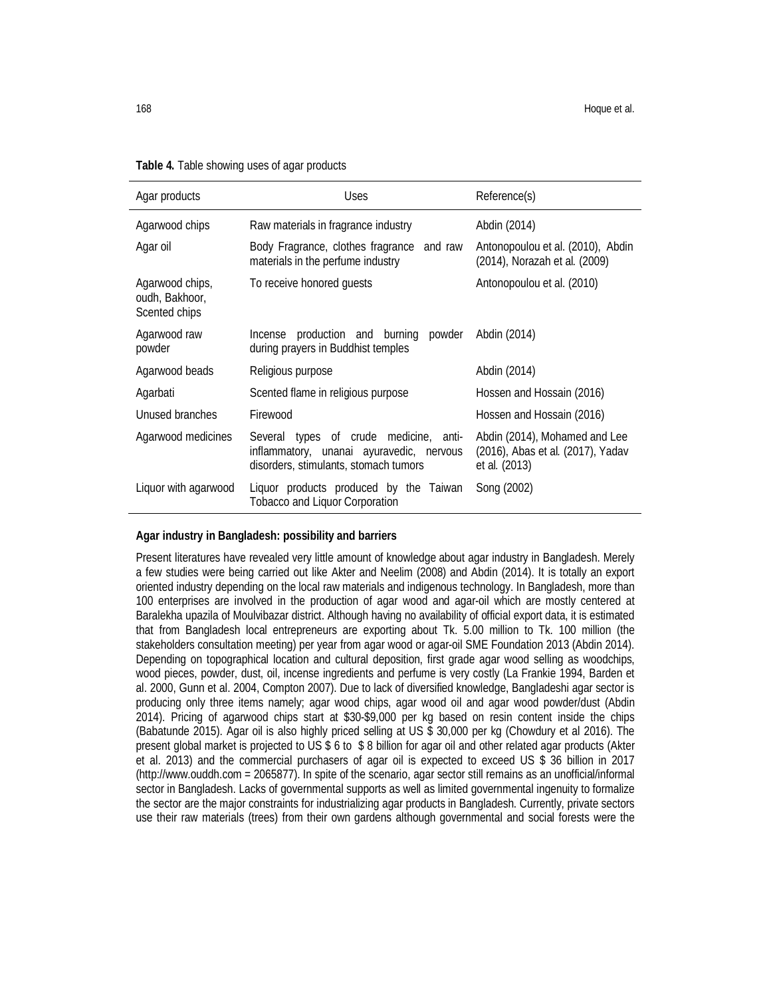| Agar products                                      | <b>Uses</b>                                                                                                                 | Reference(s)                                                                        |
|----------------------------------------------------|-----------------------------------------------------------------------------------------------------------------------------|-------------------------------------------------------------------------------------|
| Agarwood chips                                     | Raw materials in fragrance industry                                                                                         | Abdin (2014)                                                                        |
| Agar oil                                           | Body Fragrance, clothes fragrance and raw<br>materials in the perfume industry                                              | Antonopoulou et al. (2010), Abdin<br>(2014), Norazah et al. (2009)                  |
| Agarwood chips,<br>oudh, Bakhoor,<br>Scented chips | To receive honored quests                                                                                                   | Antonopoulou et al. (2010)                                                          |
| Agarwood raw<br>powder                             | Incense production and burning powder<br>during prayers in Buddhist temples                                                 | Abdin (2014)                                                                        |
| Agarwood beads                                     | Religious purpose                                                                                                           | Abdin (2014)                                                                        |
| Agarbati                                           | Scented flame in religious purpose                                                                                          | Hossen and Hossain (2016)                                                           |
| Unused branches                                    | Firewood                                                                                                                    | Hossen and Hossain (2016)                                                           |
| Agarwood medicines                                 | Several types of crude medicine, anti-<br>inflammatory, unanai ayuravedic, nervous<br>disorders, stimulants, stomach tumors | Abdin (2014), Mohamed and Lee<br>(2016), Abas et al. (2017), Yadav<br>et al. (2013) |
| Liquor with agarwood                               | Liquor products produced by the Taiwan<br><b>Tobacco and Liquor Corporation</b>                                             | Song (2002)                                                                         |

#### **Table 4.** Table showing uses of agar products

# **Agar industry in Bangladesh: possibility and barriers**

Present literatures have revealed very little amount of knowledge about agar industry in Bangladesh. Merely a few studies were being carried out like Akter and Neelim (2008) and Abdin (2014). It is totally an export oriented industry depending on the local raw materials and indigenous technology. In Bangladesh, more than 100 enterprises are involved in the production of agar wood and agar-oil which are mostly centered at Baralekha upazila of Moulvibazar district. Although having no availability of official export data, it is estimated that from Bangladesh local entrepreneurs are exporting about Tk. 5.00 million to Tk. 100 million (the stakeholders consultation meeting) per year from agar wood or agar-oil SME Foundation 2013 (Abdin 2014). Depending on topographical location and cultural deposition, first grade agar wood selling as woodchips, wood pieces, powder, dust, oil, incense ingredients and perfume is very costly (La Frankie 1994, Barden et al. 2000, Gunn et al. 2004, Compton 2007). Due to lack of diversified knowledge, Bangladeshi agar sector is producing only three items namely; agar wood chips, agar wood oil and agar wood powder/dust (Abdin 2014). Pricing of agarwood chips start at \$30-\$9,000 per kg based on resin content inside the chips (Babatunde 2015). Agar oil is also highly priced selling at US \$ 30,000 per kg (Chowdury et al 2016). The present global market is projected to US \$ 6 to \$ 8 billion for agar oil and other related agar products (Akter et al. 2013) and the commercial purchasers of agar oil is expected to exceed US \$ 36 billion in 2017 (http://www.ouddh.com = 2065877). In spite of the scenario, agar sector still remains as an unofficial/informal sector in Bangladesh. Lacks of governmental supports as well as limited governmental ingenuity to formalize the sector are the major constraints for industrializing agar products in Bangladesh. Currently, private sectors use their raw materials (trees) from their own gardens although governmental and social forests were the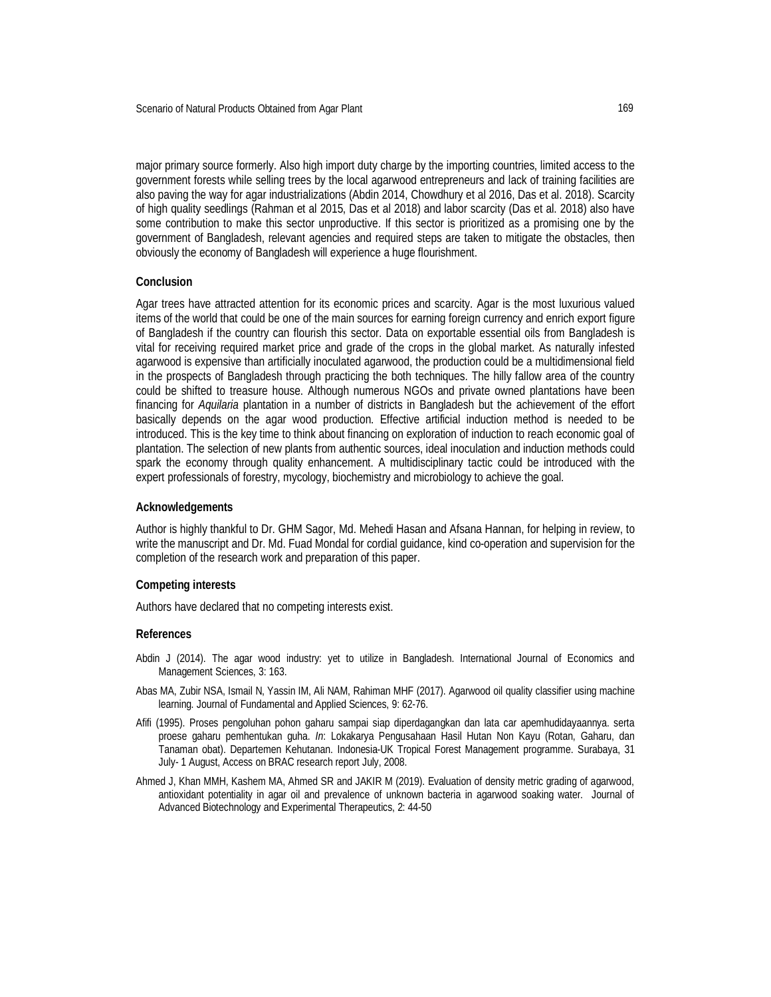major primary source formerly. Also high import duty charge by the importing countries, limited access to the government forests while selling trees by the local agarwood entrepreneurs and lack of training facilities are also paving the way for agar industrializations (Abdin 2014, Chowdhury et al 2016, Das et al. 2018). Scarcity of high quality seedlings (Rahman et al 2015, Das et al 2018) and labor scarcity (Das et al. 2018) also have some contribution to make this sector unproductive. If this sector is prioritized as a promising one by the government of Bangladesh, relevant agencies and required steps are taken to mitigate the obstacles, then obviously the economy of Bangladesh will experience a huge flourishment.

#### **Conclusion**

Agar trees have attracted attention for its economic prices and scarcity. Agar is the most luxurious valued items of the world that could be one of the main sources for earning foreign currency and enrich export figure of Bangladesh if the country can flourish this sector. Data on exportable essential oils from Bangladesh is vital for receiving required market price and grade of the crops in the global market. As naturally infested agarwood is expensive than artificially inoculated agarwood, the production could be a multidimensional field in the prospects of Bangladesh through practicing the both techniques. The hilly fallow area of the country could be shifted to treasure house. Although numerous NGOs and private owned plantations have been financing for *Aquilaria* plantation in a number of districts in Bangladesh but the achievement of the effort basically depends on the agar wood production. Effective artificial induction method is needed to be introduced. This is the key time to think about financing on exploration of induction to reach economic goal of plantation. The selection of new plants from authentic sources, ideal inoculation and induction methods could spark the economy through quality enhancement. A multidisciplinary tactic could be introduced with the expert professionals of forestry, mycology, biochemistry and microbiology to achieve the goal.

### **Acknowledgements**

Author is highly thankful to Dr. GHM Sagor, Md. Mehedi Hasan and Afsana Hannan, for helping in review, to write the manuscript and Dr. Md. Fuad Mondal for cordial guidance, kind co-operation and supervision for the completion of the research work and preparation of this paper.

#### **Competing interests**

Authors have declared that no competing interests exist.

#### **References**

- Abdin J (2014). The agar wood industry: yet to utilize in Bangladesh. International Journal of Economics and Management Sciences, 3: 163.
- Abas MA, Zubir NSA, Ismail N, Yassin IM, Ali NAM, Rahiman MHF (2017). Agarwood oil quality classifier using machine learning. Journal of Fundamental and Applied Sciences, 9: 62-76.
- Afifi (1995). Proses pengoluhan pohon gaharu sampai siap diperdagangkan dan lata car apemhudidayaannya. serta proese gaharu pemhentukan guha. *In*: Lokakarya Pengusahaan Hasil Hutan Non Kayu (Rotan, Gaharu, dan Tanaman obat). Departemen Kehutanan. Indonesia-UK Tropical Forest Management programme. Surabaya, 31 July- 1 August, Access on BRAC research report July, 2008.
- Ahmed J, Khan MMH, Kashem MA, Ahmed SR and JAKIR M (2019). Evaluation of density metric grading of agarwood, antioxidant potentiality in agar oil and prevalence of unknown bacteria in agarwood soaking water. Journal of Advanced Biotechnology and Experimental Therapeutics, 2: 44-50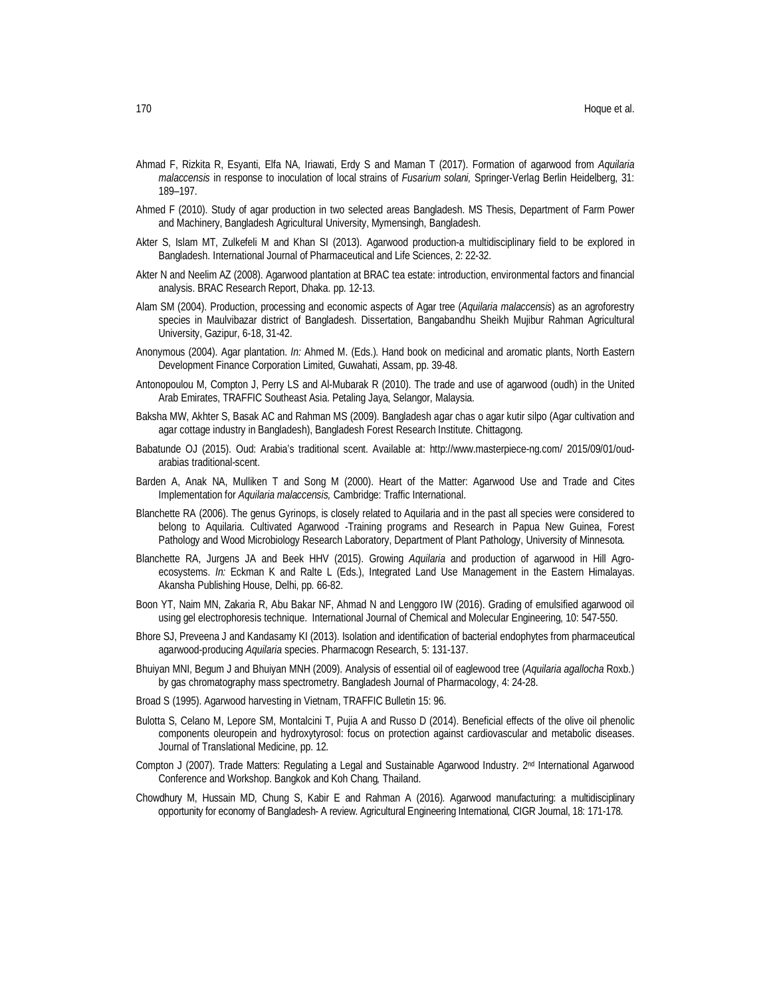- Ahmad F, Rizkita R, Esyanti, Elfa NA, Iriawati, Erdy S and Maman T (2017). Formation of agarwood from *Aquilaria malaccensis* in response to inoculation of local strains of *Fusarium solani,* Springer-Verlag Berlin Heidelberg, 31: 189–197.
- Ahmed F (2010). Study of agar production in two selected areas Bangladesh. MS Thesis, Department of Farm Power and Machinery, Bangladesh Agricultural University, Mymensingh, Bangladesh.
- Akter S, Islam MT, Zulkefeli M and Khan SI (2013). Agarwood production-a multidisciplinary field to be explored in Bangladesh. International Journal of Pharmaceutical and Life Sciences, 2: 22-32.
- Akter N and Neelim AZ (2008). Agarwood plantation at BRAC tea estate: introduction, environmental factors and financial analysis. BRAC Research Report, Dhaka. pp. 12-13.
- Alam SM (2004). Production, processing and economic aspects of Agar tree (*Aquilaria malaccensis*) as an agroforestry species in Maulvibazar district of Bangladesh. Dissertation, Bangabandhu Sheikh Mujibur Rahman Agricultural University, Gazipur, 6-18, 31-42.
- Anonymous (2004). Agar plantation. *In:* Ahmed M. (Eds.). Hand book on medicinal and aromatic plants, North Eastern Development Finance Corporation Limited, Guwahati, Assam, pp. 39-48.
- Antonopoulou M, Compton J, Perry LS and Al-Mubarak R (2010). The trade and use of agarwood (oudh) in the United Arab Emirates, TRAFFIC Southeast Asia. Petaling Jaya, Selangor, Malaysia.
- Baksha MW, Akhter S, Basak AC and Rahman MS (2009). Bangladesh agar chas o agar kutir silpo (Agar cultivation and agar cottage industry in Bangladesh), Bangladesh Forest Research Institute. Chittagong.
- Babatunde OJ (2015). Oud: Arabia's traditional scent. Available at: http://www.masterpiece-ng.com/ 2015/09/01/oudarabias traditional-scent.
- Barden A, Anak NA, Mulliken T and Song M (2000). Heart of the Matter: Agarwood Use and Trade and Cites Implementation for *Aquilaria malaccensis,* Cambridge: Traffic International.
- Blanchette RA (2006). The genus Gyrinops, is closely related to Aquilaria and in the past all species were considered to belong to Aquilaria. Cultivated Agarwood -Training programs and Research in Papua New Guinea, Forest Pathology and Wood Microbiology Research Laboratory, Department of Plant Pathology, University of Minnesota.
- Blanchette RA, Jurgens JA and Beek HHV (2015). Growing *Aquilaria* and production of agarwood in Hill Agroecosystems. *In:* Eckman K and Ralte L (Eds.), Integrated Land Use Management in the Eastern Himalayas. Akansha Publishing House, Delhi, pp. 66-82.
- Boon YT, Naim MN, Zakaria R, Abu Bakar NF, Ahmad N and Lenggoro IW (2016). Grading of emulsified agarwood oil using gel electrophoresis technique. International Journal of Chemical and Molecular Engineering, 10: 547-550.
- Bhore SJ, Preveena J and Kandasamy KI (2013). Isolation and identification of bacterial endophytes from pharmaceutical agarwood-producing *Aquilaria* species. Pharmacogn Research, 5: 131-137.
- Bhuiyan MNI, Begum J and Bhuiyan MNH (2009). Analysis of essential oil of eaglewood tree (*Aquilaria agallocha* Roxb.) by gas chromatography mass spectrometry. Bangladesh Journal of Pharmacology, 4: 24-28.
- Broad S (1995). Agarwood harvesting in Vietnam, TRAFFIC Bulletin 15: 96.
- Bulotta S, Celano M, Lepore SM, Montalcini T, Pujia A and Russo D (2014). Beneficial effects of the olive oil phenolic components oleuropein and hydroxytyrosol: focus on protection against cardiovascular and metabolic diseases. Journal of Translational Medicine, pp. 12.
- Compton J (2007). Trade Matters: Regulating a Legal and Sustainable Agarwood Industry. 2<sup>nd</sup> International Agarwood Conference and Workshop. Bangkok and Koh Chang*,* Thailand.
- Chowdhury M, Hussain MD, Chung S, Kabir E and Rahman A (2016). Agarwood manufacturing: a multidisciplinary opportunity for economy of Bangladesh- A review. Agricultural Engineering International*,* CIGR Journal, 18: 171-178.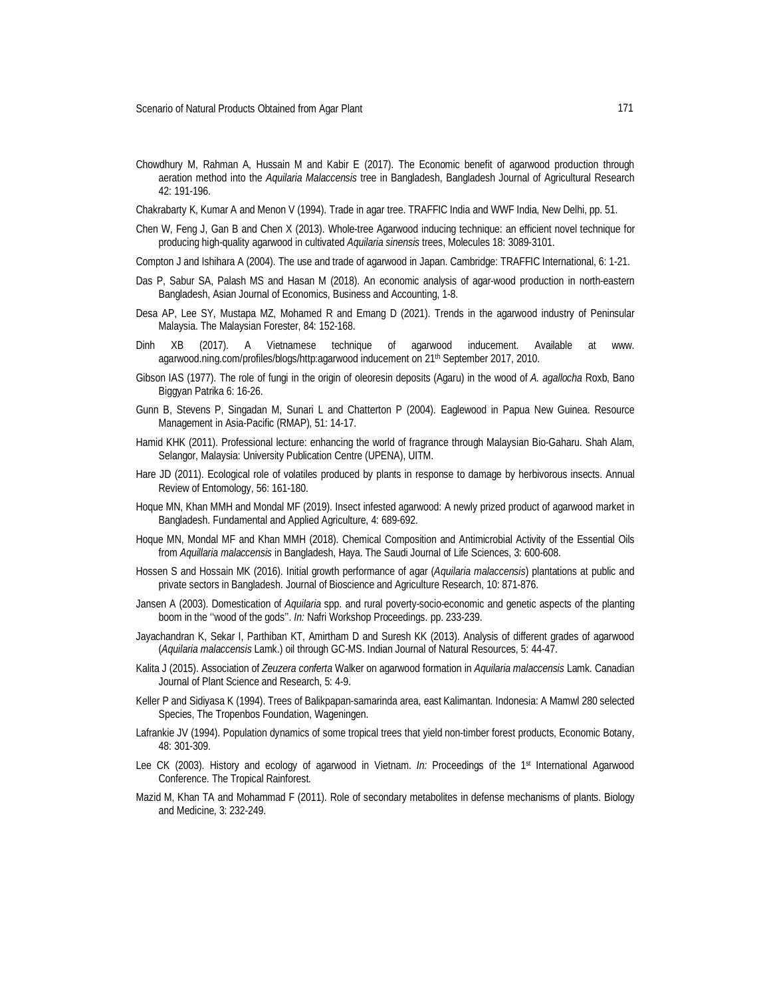Chowdhury M, Rahman A, Hussain M and Kabir E (2017). The Economic benefit of agarwood production through aeration method into the *Aquilaria Malaccensis* tree in Bangladesh, Bangladesh Journal of Agricultural Research 42: 191-196.

Chakrabarty K, Kumar A and Menon V (1994). Trade in agar tree. TRAFFIC India and WWF India, New Delhi, pp. 51.

- Chen W, Feng J, Gan B and Chen X (2013). Whole-tree Agarwood inducing technique: an efficient novel technique for producing high-quality agarwood in cultivated *Aquilaria sinensis* trees, Molecules 18: 3089-3101.
- Compton J and Ishihara A (2004). The use and trade of agarwood in Japan. Cambridge: TRAFFIC International, 6: 1-21.
- Das P, Sabur SA, Palash MS and Hasan M (2018). An economic analysis of agar-wood production in north-eastern Bangladesh, Asian Journal of Economics, Business and Accounting, 1-8.
- Desa AP, Lee SY, Mustapa MZ, Mohamed R and Emang D (2021). Trends in the agarwood industry of Peninsular Malaysia. The Malaysian Forester, 84: 152-168.
- Dinh XB (2017). A Vietnamese technique of agarwood inducement. Available at www. agarwood.ning.com/profiles/blogs/http:agarwood inducement on 21<sup>th</sup> September 2017, 2010.
- Gibson IAS (1977). The role of fungi in the origin of oleoresin deposits (Agaru) in the wood of *A. agallocha* Roxb, Bano Biggyan Patrika 6: 16-26.
- Gunn B, Stevens P, Singadan M, Sunari L and Chatterton P (2004). Eaglewood in Papua New Guinea. Resource Management in Asia-Pacific (RMAP), 51: 14-17.
- Hamid KHK (2011). Professional lecture: enhancing the world of fragrance through Malaysian Bio-Gaharu. Shah Alam, Selangor, Malaysia: University Publication Centre (UPENA), UITM.
- Hare JD (2011). Ecological role of volatiles produced by plants in response to damage by herbivorous insects. Annual Review of Entomology, 56: 161-180.
- Hoque MN, Khan MMH and Mondal MF (2019). Insect infested agarwood: A newly prized product of agarwood market in Bangladesh. Fundamental and Applied Agriculture, 4: 689-692.
- Hoque MN, Mondal MF and Khan MMH (2018). Chemical Composition and Antimicrobial Activity of the Essential Oils from *Aquillaria malaccensis* in Bangladesh, Haya. The Saudi Journal of Life Sciences, 3: 600-608.
- Hossen S and Hossain MK (2016). Initial growth performance of agar (*Aquilaria malaccensis*) plantations at public and private sectors in Bangladesh. Journal of Bioscience and Agriculture Research, 10: 871-876.
- Jansen A (2003). Domestication of *Aquilaria* spp. and rural poverty-socio-economic and genetic aspects of the planting boom in the ''wood of the gods''. *In:* Nafri Workshop Proceedings. pp. 233-239.
- Jayachandran K, Sekar I, Parthiban KT, Amirtham D and Suresh KK (2013). Analysis of different grades of agarwood (*Aquilaria malaccensis* Lamk.) oil through GC-MS. Indian Journal of Natural Resources, 5: 44-47.
- Kalita J (2015). Association of *Zeuzera conferta* Walker on agarwood formation in *Aquilaria malaccensis* Lamk. Canadian Journal of Plant Science and Research, 5: 4-9.
- Keller P and Sidiyasa K (1994). Trees of Balikpapan-samarinda area, east Kalimantan. Indonesia: A Mamwl 280 selected Species, The Tropenbos Foundation, Wageningen.
- Lafrankie JV (1994). Population dynamics of some tropical trees that yield non-timber forest products, Economic Botany, 48: 301-309.
- Lee CK (2003). History and ecology of agarwood in Vietnam. *In:* Proceedings of the 1st International Agarwood Conference. The Tropical Rainforest.
- Mazid M, Khan TA and Mohammad F (2011). Role of secondary metabolites in defense mechanisms of plants. Biology and Medicine, 3: 232-249.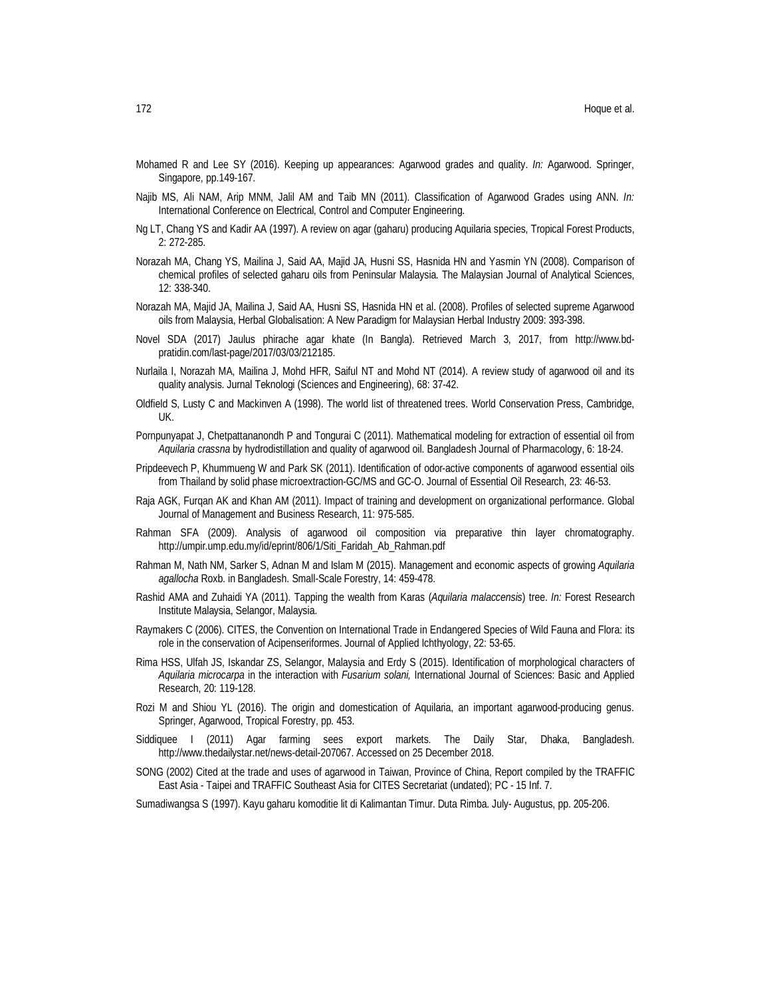- Mohamed R and Lee SY (2016). Keeping up appearances: Agarwood grades and quality. *In:* Agarwood. Springer, Singapore, pp.149-167.
- Najib MS, Ali NAM, Arip MNM, Jalil AM and Taib MN (2011). Classification of Agarwood Grades using ANN. *In:* International Conference on Electrical, Control and Computer Engineering.
- Ng LT, Chang YS and Kadir AA (1997). A review on agar (gaharu) producing Aquilaria species, Tropical Forest Products, 2: 272-285.
- Norazah MA, Chang YS, Mailina J, Said AA, Majid JA, Husni SS, Hasnida HN and Yasmin YN (2008). Comparison of chemical profiles of selected gaharu oils from Peninsular Malaysia. The Malaysian Journal of Analytical Sciences, 12: 338-340.
- Norazah MA, Majid JA, Mailina J, Said AA, Husni SS, Hasnida HN et al. (2008). Profiles of selected supreme Agarwood oils from Malaysia, Herbal Globalisation: A New Paradigm for Malaysian Herbal Industry 2009: 393-398.
- Novel SDA (2017) Jaulus phirache agar khate (In Bangla). Retrieved March 3, 2017, from http://www.bdpratidin.com/last-page/2017/03/03/212185.
- Nurlaila I, Norazah MA, Mailina J, Mohd HFR, Saiful NT and Mohd NT (2014). A review study of agarwood oil and its quality analysis. Jurnal Teknologi (Sciences and Engineering), 68: 37-42.
- Oldfield S, Lusty C and Mackinven A (1998). The world list of threatened trees. World Conservation Press, Cambridge, UK.
- Pornpunyapat J, Chetpattananondh P and Tongurai C (2011). Mathematical modeling for extraction of essential oil from *Aquilaria crassna* by hydrodistillation and quality of agarwood oil. Bangladesh Journal of Pharmacology, 6: 18-24.
- Pripdeevech P, Khummueng W and Park SK (2011). Identification of odor-active components of agarwood essential oils from Thailand by solid phase microextraction-GC/MS and GC-O. Journal of Essential Oil Research, 23: 46-53.
- Raja AGK, Furqan AK and Khan AM (2011). Impact of training and development on organizational performance. Global Journal of Management and Business Research, 11: 975-585.
- Rahman SFA (2009). Analysis of agarwood oil composition via preparative thin layer chromatography. http://umpir.ump.edu.my/id/eprint/806/1/Siti\_Faridah\_Ab\_Rahman.pdf
- Rahman M, Nath NM, Sarker S, Adnan M and Islam M (2015). Management and economic aspects of growing *Aquilaria agallocha* Roxb. in Bangladesh. Small-Scale Forestry, 14: 459-478.
- Rashid AMA and Zuhaidi YA (2011). Tapping the wealth from Karas (*Aquilaria malaccensis*) tree. *In:* Forest Research Institute Malaysia, Selangor, Malaysia.
- Raymakers C (2006). CITES, the Convention on International Trade in Endangered Species of Wild Fauna and Flora: its role in the conservation of Acipenseriformes. Journal of Applied Ichthyology, 22: 53-65.
- Rima HSS, Ulfah JS, Iskandar ZS, Selangor, Malaysia and Erdy S (2015). Identification of morphological characters of *Aquilaria microcarpa* in the interaction with *Fusarium solani,* International Journal of Sciences: Basic and Applied Research, 20: 119-128.
- Rozi M and Shiou YL (2016). The origin and domestication of Aquilaria, an important agarwood-producing genus. Springer, Agarwood, Tropical Forestry, pp. 453.
- Siddiquee I (2011) Agar farming sees export markets. The Daily Star, Dhaka, Bangladesh. http://www.thedailystar.net/news-detail-207067. Accessed on 25 December 2018.
- SONG (2002) Cited at the trade and uses of agarwood in Taiwan, Province of China, Report compiled by the TRAFFIC East Asia - Taipei and TRAFFIC Southeast Asia for CITES Secretariat (undated); PC - 15 Inf. 7.
- Sumadiwangsa S (1997). Kayu gaharu komoditie lit di Kalimantan Timur. Duta Rimba. July- Augustus, pp. 205-206.